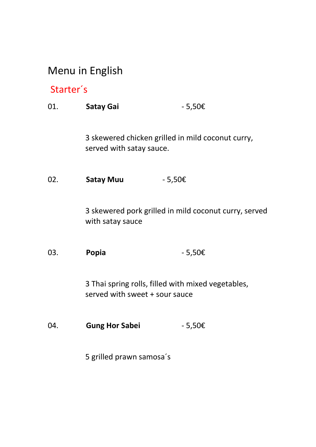# Menu in English

## Starter´s

01. Satay Gai  $-5,50 \in$ 

3 skewered chicken grilled in mild coconut curry, served with satay sauce.

02. Satay Muu  $-5,50 \in$ 

3 skewered pork grilled in mild coconut curry, served with satay sauce

03. **Popia**  $-5,50 \in$ 

3 Thai spring rolls, filled with mixed vegetables, served with sweet + sour sauce

04. Gung Hor Sabei - 5,50€

5 grilled prawn samosa´s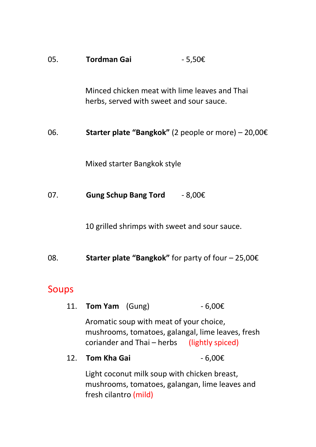| 05. | <b>Tordman Gai</b> | $-5,50€$ |
|-----|--------------------|----------|
|     |                    |          |

Minced chicken meat with lime leaves and Thai herbs, served with sweet and sour sauce.

06. Starter plate "Bangkok" (2 people or more) – 20,00€

Mixed starter Bangkok style

07. Gung Schup Bang Tord - 8,00€

10 grilled shrimps with sweet and sour sauce.

08. Starter plate "Bangkok" for party of four – 25,00€

### Soups

11. **Tom Yam** (Gung)  $-6,00 \in$ Aromatic soup with meat of your choice, mushrooms, tomatoes, galangal, lime leaves, fresh coriander and Thai – herbs (lightly spiced) 12. Tom Kha Gai  $-6,00 \in$ Light coconut milk soup with chicken breast, mushrooms, tomatoes, galangan, lime leaves and fresh cilantro (mild)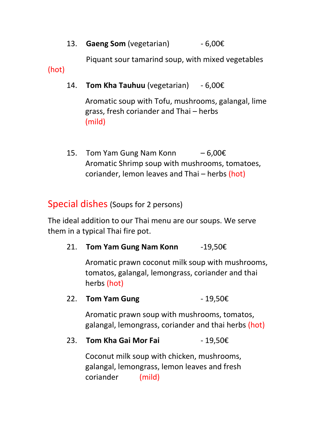13. Gaeng Som (vegetarian)  $-6.00 \epsilon$ 

Piquant sour tamarind soup, with mixed vegetables

(hot)

14. Tom Kha Tauhuu (vegetarian) - 6,00€

Aromatic soup with Tofu, mushrooms, galangal, lime grass, fresh coriander and Thai – herbs (mild)

15. Tom Yam Gung Nam Konn  $-6,00 \in$ Aromatic Shrimp soup with mushrooms, tomatoes, coriander, lemon leaves and Thai – herbs (hot)

### Special dishes (Soups for 2 persons)

The ideal addition to our Thai menu are our soups. We serve them in a typical Thai fire pot.

21. Tom Yam Gung Nam Konn  $-19,50 \in$ 

Aromatic prawn coconut milk soup with mushrooms, tomatos, galangal, lemongrass, coriander and thai herbs (hot)

22. Tom Yam Gung  $-19,50 \in$ 

Aromatic prawn soup with mushrooms, tomatos, galangal, lemongrass, coriander and thai herbs (hot)

23. Tom Kha Gai Mor Fai  $-19.50 \epsilon$ 

Coconut milk soup with chicken, mushrooms, galangal, lemongrass, lemon leaves and fresh coriander (mild)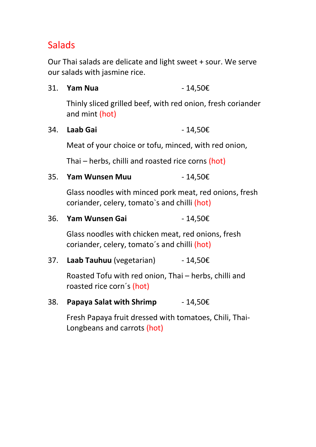## Salads

Our Thai salads are delicate and light sweet + sour. We serve our salads with jasmine rice.

31. Yam Nua  $-14,50 \in$ 

Thinly sliced grilled beef, with red onion, fresh coriander and mint (hot)

34. Laab Gai  $-14,50 \in$ 

Meat of your choice or tofu, minced, with red onion,

Thai – herbs, chilli and roasted rice corns (hot)

35. Yam Wunsen Muu  $-14,50 \in$ 

Glass noodles with minced pork meat, red onions, fresh coriander, celery, tomato`s and chilli (hot)

36. Yam Wunsen Gai **- 14,50€** 

Glass noodles with chicken meat, red onions, fresh coriander, celery, tomato´s and chilli (hot)

37. Laab Tauhuu (vegetarian)  $-14,50 \in$ 

Roasted Tofu with red onion, Thai – herbs, chilli and roasted rice corn´s (hot)

38. Papaya Salat with Shrimp  $-14,50 \in$ 

Fresh Papaya fruit dressed with tomatoes, Chili, Thai-Longbeans and carrots (hot)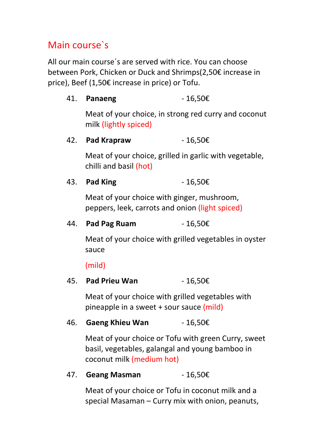## Main course`s

All our main course´s are served with rice. You can choose between Pork, Chicken or Duck and Shrimps(2,50€ increase in price), Beef (1,50€ increase in price) or Tofu.

41. Panaeng  $-16,50 \in$ 

Meat of your choice, in strong red curry and coconut milk (lightly spiced)

42. **Pad Krapraw** - 16,50€

Meat of your choice, grilled in garlic with vegetable, chilli and basil (hot)

### 43. **Pad King**  $-16,50€$

Meat of your choice with ginger, mushroom, peppers, leek, carrots and onion (light spiced)

44. Pad Pag Ruam  $-16.50 \epsilon$ 

Meat of your choice with grilled vegetables in oyster sauce

(mild)

45. Pad Prieu Wan  $-16,50 \in$ 

Meat of your choice with grilled vegetables with pineapple in a sweet + sour sauce (mild)

46. Gaeng Khieu Wan  $-16.50€$ 

Meat of your choice or Tofu with green Curry, sweet basil, vegetables, galangal and young bamboo in coconut milk (medium hot)

 $47.$  Geang Masman  $-16.50€$ 

Meat of your choice or Tofu in coconut milk and a special Masaman – Curry mix with onion, peanuts,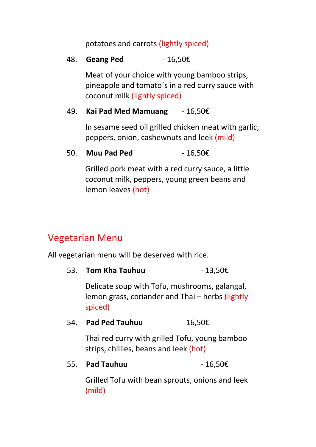potatoes and carrots (lightly spiced)

48. Geang Ped  $-16,50€$ 

Meat of your choice with young bamboo strips, pineapple and tomato´s in a red curry sauce with coconut milk (lightly spiced)

49. Kai Pad Med Mamuang  $-16,50 \in$ 

In sesame seed oil grilled chicken meat with garlic, peppers, onion, cashewnuts and leek (mild)

50. Muu Pad Ped  $-16,50 \in$ 

Grilled pork meat with a red curry sauce, a little coconut milk, peppers, young green beans and lemon leaves (hot)

### Vegetarian Menu

All vegetarian menu will be deserved with rice.

53. Tom Kha Tauhuu  $-13,50 \in$ 

Delicate soup with Tofu, mushrooms, galangal, lemon grass, coriander and Thai – herbs (lightly spiced)

54. Pad Ped Tauhuu  $-16.50 \epsilon$ 

Thai red curry with grilled Tofu, young bamboo strips, chillies, beans and leek (hot)

 $55.$  Pad Tauhuu  $-16.50€$ 

Grilled Tofu with bean sprouts, onions and leek (mild)